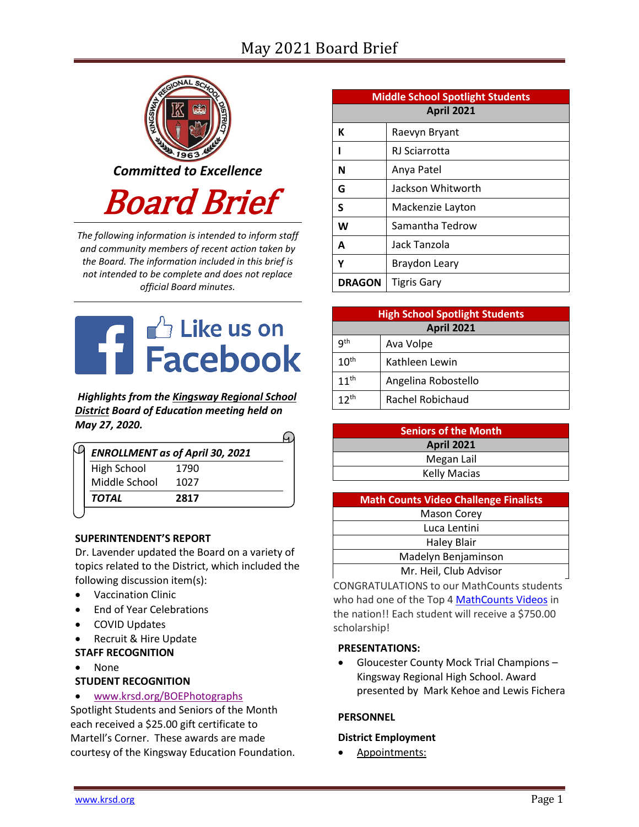# May 2021 Board Brief



*The following information is intended to inform staff and community members of recent action taken by the Board. The information included in this brief is not intended to be complete and does not replace official Board minutes.*



*Highlights from the [Kingsway Regional School](https://www.facebook.com/KingswayDragons)  [District](https://www.facebook.com/KingswayDragons) Board of Education meeting held on May 27, 2020.*

 $\Omega$ 

|               | <b>ENROLLMENT as of April 30, 2021</b> |  |
|---------------|----------------------------------------|--|
| High School   | 1790                                   |  |
| Middle School | 1027                                   |  |
| TOTAL         | 2817                                   |  |

#### **SUPERINTENDENT'S REPORT**

Dr. Lavender updated the Board on a variety of topics related to the District, which included the following discussion item(s):

- Vaccination Clinic
- End of Year Celebrations
- COVID Updates
- Recruit & Hire Update
- **STAFF RECOGNITION**
- None

### **STUDENT RECOGNITION**

[www.krsd.org/BOEPhotographs](https://www.krsd.org/site/default.aspx?PageType=3&ModuleInstanceID=4615&ViewID=94B66785-F3F0-41A8-8414-1E55691D3E9E&RenderLoc=0&FlexDataID=7412&PageID=1303) 

Spotlight Students and Seniors of the Month each received a \$25.00 gift certificate to Martell's Corner. These awards are made courtesy of the Kingsway Education Foundation.

| <b>Middle School Spotlight Students</b> |                    |  |  |  |
|-----------------------------------------|--------------------|--|--|--|
| <b>April 2021</b>                       |                    |  |  |  |
| К                                       | Raevyn Bryant      |  |  |  |
|                                         | RJ Sciarrotta      |  |  |  |
| N                                       | Anya Patel         |  |  |  |
| G                                       | Jackson Whitworth  |  |  |  |
| S                                       | Mackenzie Layton   |  |  |  |
| W                                       | Samantha Tedrow    |  |  |  |
| A                                       | Jack Tanzola       |  |  |  |
| Υ                                       | Braydon Leary      |  |  |  |
| <b>DRAGON</b>                           | <b>Tigris Gary</b> |  |  |  |

| <b>High School Spotlight Students</b> |                     |  |  |  |
|---------------------------------------|---------------------|--|--|--|
| <b>April 2021</b>                     |                     |  |  |  |
| qth                                   | Ava Volpe           |  |  |  |
| 10 <sup>th</sup>                      | Kathleen Lewin      |  |  |  |
| $11^{th}$                             | Angelina Robostello |  |  |  |
| 12 <sup>th</sup>                      | Rachel Robichaud    |  |  |  |

| <b>Seniors of the Month</b> |  |  |  |  |
|-----------------------------|--|--|--|--|
| <b>April 2021</b>           |  |  |  |  |
| Megan Lail                  |  |  |  |  |
| <b>Kelly Macias</b>         |  |  |  |  |
|                             |  |  |  |  |

| <b>Math Counts Video Challenge Finalists</b> |  |  |  |
|----------------------------------------------|--|--|--|
| <b>Mason Corey</b>                           |  |  |  |
| Luca Lentini                                 |  |  |  |
| <b>Haley Blair</b>                           |  |  |  |
| Madelyn Benjaminson                          |  |  |  |
| Mr. Heil, Club Advisor                       |  |  |  |

CONGRATULATIONS to our MathCounts students who had one of the Top 4 [MathCounts](https://www.youtube.com/watch?v=dJvTlLUHwQo&t=1s) Videos in the nation!! Each student will receive a \$750.00 scholarship!

#### **PRESENTATIONS:**

 Gloucester County Mock Trial Champions – Kingsway Regional High School. Award presented by Mark Kehoe and Lewis Fichera

### **PERSONNEL**

#### **District Employment**

Appointments: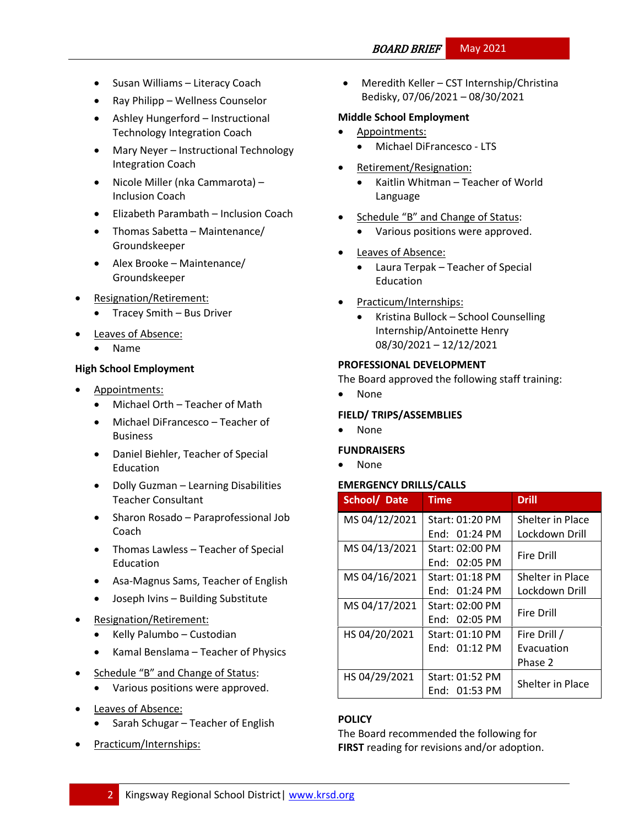# BOARD BRIEF May 2021

- Susan Williams Literacy Coach
- Ray Philipp Wellness Counselor
- Ashley Hungerford Instructional Technology Integration Coach
- Mary Neyer Instructional Technology Integration Coach
- Nicole Miller (nka Cammarota) Inclusion Coach
- Elizabeth Parambath Inclusion Coach
- Thomas Sabetta Maintenance/ Groundskeeper
- Alex Brooke Maintenance/ Groundskeeper
- Resignation/Retirement:
	- Tracey Smith Bus Driver
- Leaves of Absence:
	- Name

### **High School Employment**

- Appointments:
	- Michael Orth Teacher of Math
	- Michael DiFrancesco Teacher of Business
	- Daniel Biehler, Teacher of Special **Education**
	- Dolly Guzman Learning Disabilities Teacher Consultant
	- Sharon Rosado Paraprofessional Job Coach
	- Thomas Lawless Teacher of Special Education
	- Asa-Magnus Sams, Teacher of English
	- Joseph Ivins Building Substitute
- Resignation/Retirement:
	- Kelly Palumbo Custodian
	- Kamal Benslama Teacher of Physics
- Schedule "B" and Change of Status:
	- Various positions were approved.
- Leaves of Absence:
	- Sarah Schugar Teacher of English
- Practicum/Internships:

 Meredith Keller – CST Internship/Christina Bedisky, 07/06/2021 – 08/30/2021

## **Middle School Employment**

- Appointments:
	- Michael DiFrancesco LTS
- Retirement/Resignation:
	- Kaitlin Whitman Teacher of World Language
- Schedule "B" and Change of Status:
	- Various positions were approved.
- Leaves of Absence:
	- Laura Terpak Teacher of Special Education
- Practicum/Internships:
	- Kristina Bullock School Counselling Internship/Antoinette Henry 08/30/2021 – 12/12/2021

### **PROFESSIONAL DEVELOPMENT**

The Board approved the following staff training:

None

## **FIELD/ TRIPS/ASSEMBLIES**

None

### **FUNDRAISERS**

None

### **EMERGENCY DRILLS/CALLS**

| School/ Date  | <b>Time</b>     | <b>Drill</b>      |  |
|---------------|-----------------|-------------------|--|
| MS 04/12/2021 | Start: 01:20 PM | Shelter in Place  |  |
|               | End: 01:24 PM   | Lockdown Drill    |  |
| MS 04/13/2021 | Start: 02:00 PM | <b>Fire Drill</b> |  |
|               | End: 02:05 PM   |                   |  |
| MS 04/16/2021 | Start: 01:18 PM | Shelter in Place  |  |
|               | End: $01:24$ PM | Lockdown Drill    |  |
| MS 04/17/2021 | Start: 02:00 PM | <b>Fire Drill</b> |  |
|               | End: 02:05 PM   |                   |  |
| HS 04/20/2021 | Start: 01:10 PM | Fire Drill /      |  |
|               | End: $01:12$ PM | Evacuation        |  |
|               |                 | Phase 2           |  |
| HS 04/29/2021 | Start: 01:52 PM | Shelter in Place  |  |
|               | End: 01:53 PM   |                   |  |

# **[POLICY](http://www.straussesmay.com/seportal/Public/DistrictPolicyTOC.aspx?id=f0cc945ef3894b8d9ad5f87d948ca425&PolicyID=)**

The Board recommended the following for **FIRST** reading for revisions and/or adoption.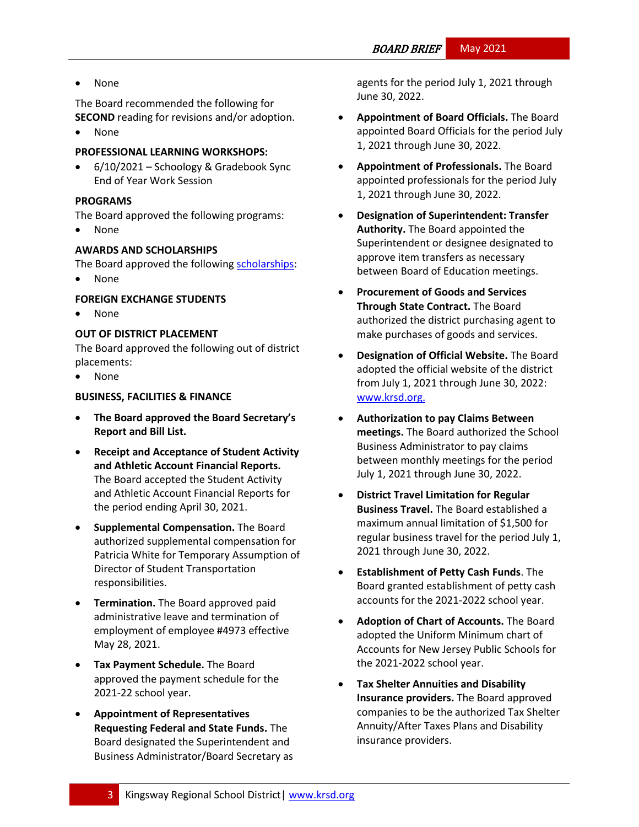• None

The Board recommended the following for

**SECOND** reading for revisions and/or adoption. None

## **PROFESSIONAL LEARNING WORKSHOPS:**

 6/10/2021 – Schoology & Gradebook Sync End of Year Work Session

## **PROGRAMS**

The Board approved the following programs:

None

## **AWARDS AND SCHOLARSHIPS**

The Board approved the followin[g scholarships:](https://docs.google.com/document/d/1TImbJbtO7cXaBVXsYicTjKqrzkOLF0F03wtEJSJYcLo/edit)

None

### **FOREIGN EXCHANGE STUDENTS**

• None

### **OUT OF DISTRICT PLACEMENT**

The Board approved the following out of district placements:

None

### **BUSINESS, FACILITIES & FINANCE**

- **The Board approved the Board Secretary's Report and Bill List.**
- **Receipt and Acceptance of Student Activity and Athletic Account Financial Reports.**  The Board accepted the Student Activity and Athletic Account Financial Reports for the period ending April 30, 2021.
- **Supplemental Compensation.** The Board authorized supplemental compensation for Patricia White for Temporary Assumption of Director of Student Transportation responsibilities.
- **Termination.** The Board approved paid administrative leave and termination of employment of employee #4973 effective May 28, 2021.
- **Tax Payment Schedule.** The Board approved the payment schedule for the 2021-22 school year.
- **Appointment of Representatives Requesting Federal and State Funds.** The Board designated the Superintendent and Business Administrator/Board Secretary as

agents for the period July 1, 2021 through June 30, 2022.

- **Appointment of Board Officials.** The Board appointed Board Officials for the period July 1, 2021 through June 30, 2022.
- **Appointment of Professionals.** The Board appointed professionals for the period July 1, 2021 through June 30, 2022.
- **Designation of Superintendent: Transfer Authority.** The Board appointed the Superintendent or designee designated to approve item transfers as necessary between Board of Education meetings.
- **Procurement of Goods and Services Through State Contract.** The Board authorized the district purchasing agent to make purchases of goods and services.
- **Designation of Official Website.** The Board adopted the official website of the district from July 1, 2021 through June 30, 2022: [www.krsd.org.](http://www.krsd.org./)
- **Authorization to pay Claims Between meetings.** The Board authorized the School Business Administrator to pay claims between monthly meetings for the period July 1, 2021 through June 30, 2022.
- **District Travel Limitation for Regular Business Travel.** The Board established a maximum annual limitation of \$1,500 for regular business travel for the period July 1, 2021 through June 30, 2022.
- **Establishment of Petty Cash Funds**. The Board granted establishment of petty cash accounts for the 2021-2022 school year.
- **Adoption of Chart of Accounts.** The Board adopted the Uniform Minimum chart of Accounts for New Jersey Public Schools for the 2021-2022 school year.
- **Tax Shelter Annuities and Disability Insurance providers.** The Board approved companies to be the authorized Tax Shelter Annuity/After Taxes Plans and Disability insurance providers.